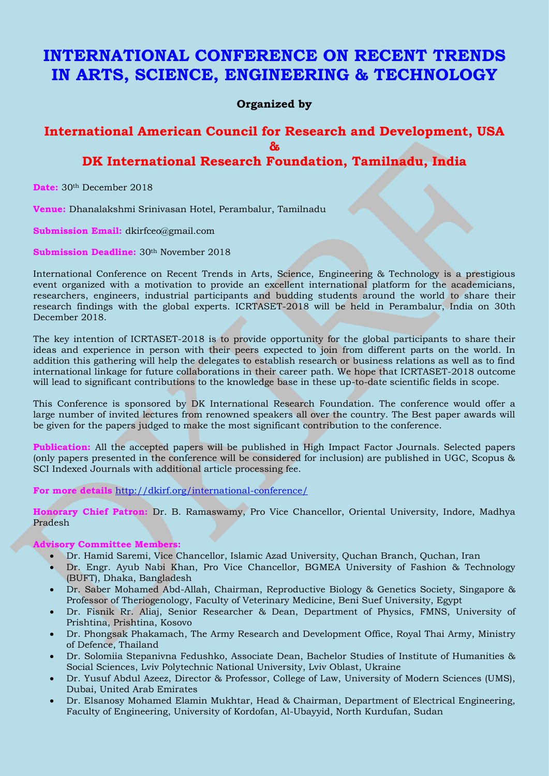# **INTERNATIONAL CONFERENCE ON RECENT TRENDS IN ARTS, SCIENCE, ENGINEERING & TECHNOLOGY**

**Organized by** 

## **International American Council for Research and Development, USA &**

## **DK International Research Foundation, Tamilnadu, India**

**Date:** 30th December 2018

**Venue:** Dhanalakshmi Srinivasan Hotel, Perambalur, Tamilnadu

**Submission Email:** dkirfceo@gmail.com

**Submission Deadline:** 30<sup>th</sup> November 2018

International Conference on Recent Trends in Arts, Science, Engineering & Technology is a prestigious event organized with a motivation to provide an excellent international platform for the academicians, researchers, engineers, industrial participants and budding students around the world to share their research findings with the global experts. ICRTASET-2018 will be held in Perambalur, India on 30th December 2018.

The key intention of ICRTASET-2018 is to provide opportunity for the global participants to share their ideas and experience in person with their peers expected to join from different parts on the world. In addition this gathering will help the delegates to establish research or business relations as well as to find international linkage for future collaborations in their career path. We hope that ICRTASET-2018 outcome will lead to significant contributions to the knowledge base in these up-to-date scientific fields in scope.

This Conference is sponsored by DK International Research Foundation. The conference would offer a large number of invited lectures from renowned speakers all over the country. The Best paper awards will be given for the papers judged to make the most significant contribution to the conference.

**Publication:** All the accepted papers will be published in High Impact Factor Journals. Selected papers (only papers presented in the conference will be considered for inclusion) are published in UGC, Scopus & SCI Indexed Journals with additional article processing fee.

**For more details** <http://dkirf.org/international-conference/>

**Honorary Chief Patron:** Dr. B. Ramaswamy, Pro Vice Chancellor, Oriental University, Indore, Madhya Pradesh

### **Advisory Committee Members:**

- Dr. Hamid Saremi, Vice Chancellor, Islamic Azad University, Quchan Branch, Quchan, Iran
- Dr. Engr. Ayub Nabi Khan, Pro Vice Chancellor, BGMEA University of Fashion & Technology (BUFT), Dhaka, Bangladesh
- Dr. Saber Mohamed Abd-Allah, Chairman, Reproductive Biology & Genetics Society, Singapore & Professor of Theriogenology, Faculty of Veterinary Medicine, Beni Suef University, Egypt
- Dr. Fisnik Rr. Aliaj, Senior Researcher & Dean, Department of Physics, FMNS, University of Prishtina, Prishtina, Kosovo
- Dr. Phongsak Phakamach, The Army Research and Development Office, Royal Thai Army, Ministry of Defence, Thailand
- Dr. Solomiia Stepanivna Fedushko, Associate Dean, Bachelor Studies of Institute of Humanities & Social Sciences, Lviv Polytechnic National University, Lviv Oblast, Ukraine
- Dr. Yusuf Abdul Azeez, Director & Professor, College of Law, University of Modern Sciences (UMS), Dubai, United Arab Emirates
- Dr. Elsanosy Mohamed Elamin Mukhtar, Head & Chairman, Department of Electrical Engineering, Faculty of Engineering, University of Kordofan, Al-Ubayyid, North Kurdufan, Sudan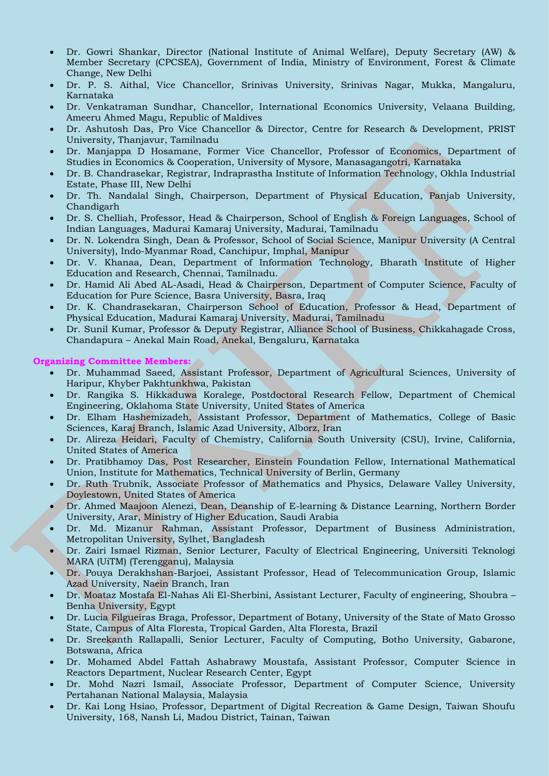- Dr. Gowri Shankar, Director (National Institute of Animal Welfare), Deputy Secretary (AW) & Member Secretary (CPCSEA), Government of India, Ministry of Environment, Forest & Climate Change, New Delhi
- Dr. P. S. Aithal, Vice Chancellor, Srinivas University, Srinivas Nagar, Mukka, Mangaluru, Karnataka
- Dr. Venkatraman Sundhar, Chancellor, International Economics University, Velaana Building, Ameeru Ahmed Magu, Republic of Maldives
- Dr. Ashutosh Das, Pro Vice Chancellor & Director, Centre for Research & Development, PRIST University, Thanjavur, Tamilnadu
- Dr. Manjappa D Hosamane, Former Vice Chancellor, Professor of Economics, Department of Studies in Economics & Cooperation, University of Mysore, Manasagangotri, Karnataka
- Dr. B. Chandrasekar, Registrar, Indraprastha Institute of Information Technology, Okhla Industrial Estate, Phase III, New Delhi
- Dr. Th. Nandalal Singh, Chairperson, Department of Physical Education, Panjab University, Chandigarh
- Dr. S. Chelliah, Professor, Head & Chairperson, School of English & Foreign Languages, School of Indian Languages, Madurai Kamaraj University, Madurai, Tamilnadu
- Dr. N. Lokendra Singh, Dean & Professor, School of Social Science, Manipur University (A Central University), Indo-Myanmar Road, Canchipur, Imphal, Manipur
- Dr. V. Khanaa, Dean, Department of Information Technology, Bharath Institute of Higher Education and Research, Chennai, Tamilnadu.
- Dr. Hamid Ali Abed AL-Asadi, Head & Chairperson, Department of Computer Science, Faculty of Education for Pure Science, Basra University, Basra, Iraq
- Dr. K. Chandrasekaran, Chairperson School of Education, Professor & Head, Department of Physical Education, Madurai Kamaraj University, Madurai, Tamilnadu
- Dr. Sunil Kumar, Professor & Deputy Registrar, Alliance School of Business, Chikkahagade Cross, Chandapura – Anekal Main Road, Anekal, Bengaluru, Karnataka

### **Organizing Committee Members:**

- Dr. Muhammad Saeed, Assistant Professor, Department of Agricultural Sciences, University of Haripur, Khyber Pakhtunkhwa, Pakistan
- Dr. Rangika S. Hikkaduwa Koralege, Postdoctoral Research Fellow, Department of Chemical Engineering, Oklahoma State University, United States of America
- Dr. Elham Hashemizadeh, Assistant Professor, Department of Mathematics, College of Basic Sciences, Karaj Branch, Islamic Azad University, Alborz, Iran
- Dr. Alireza Heidari, Faculty of Chemistry, California South University (CSU), Irvine, California, United States of America
- Dr. Pratibhamoy Das, Post Researcher, Einstein Foundation Fellow, International Mathematical Union, Institute for Mathematics, Technical University of Berlin, Germany
- Dr. Ruth Trubnik, Associate Professor of Mathematics and Physics, Delaware Valley University, Doylestown, United States of America
- Dr. Ahmed Maajoon Alenezi, Dean, Deanship of E-learning & Distance Learning, Northern Border University, Arar, Ministry of Higher Education, Saudi Arabia
- Dr. Md. Mizanur Rahman, Assistant Professor, Department of Business Administration, Metropolitan University, Sylhet, Bangladesh
- Dr. Zairi Ismael Rizman, Senior Lecturer, Faculty of Electrical Engineering, Universiti Teknologi MARA (UiTM) (Terengganu), Malaysia
- Dr. Pouya Derakhshan-Barjoei, Assistant Professor, Head of Telecommunication Group, Islamic Azad University, Naein Branch, Iran
- Dr. Moataz Mostafa El-Nahas Ali El-Sherbini, Assistant Lecturer, Faculty of engineering, Shoubra Benha University, Egypt
- Dr. Lucia Filgueiras Braga, Professor, Department of Botany, University of the State of Mato Grosso State, Campus of Alta Floresta, Tropical Garden, Alta Floresta, Brazil
- Dr. Sreekanth Rallapalli, Senior Lecturer, Faculty of Computing, Botho University, Gabarone, Botswana, Africa
- Dr. Mohamed Abdel Fattah Ashabrawy Moustafa, Assistant Professor, Computer Science in Reactors Department, Nuclear Research Center, Egypt
- Dr. Mohd Nazri Ismail, Associate Professor, Department of Computer Science, University Pertahanan National Malaysia, Malaysia
- Dr. Kai Long Hsiao, Professor, Department of Digital Recreation & Game Design, Taiwan Shoufu University, 168, Nansh Li, Madou District, Tainan, Taiwan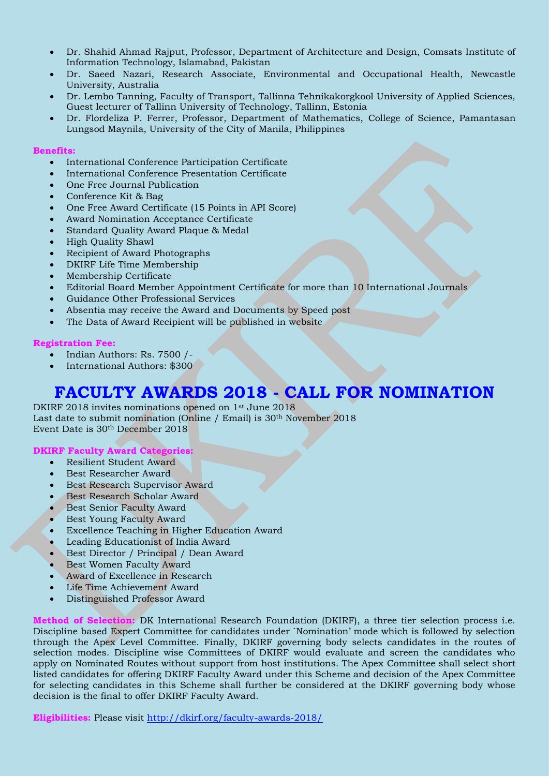- Dr. Shahid Ahmad Rajput, Professor, Department of Architecture and Design, Comsats Institute of Information Technology, Islamabad, Pakistan
- Dr. Saeed Nazari, Research Associate, Environmental and Occupational Health, Newcastle University, Australia
- Dr. Lembo Tanning, Faculty of Transport, Tallinna Tehnikakorgkool University of Applied Sciences, Guest lecturer of Tallinn University of Technology, Tallinn, Estonia
- Dr. Flordeliza P. Ferrer, Professor, Department of Mathematics, College of Science, Pamantasan Lungsod Maynila, University of the City of Manila, Philippines

#### **Benefits:**

- International Conference Participation Certificate
- International Conference Presentation Certificate
- One Free Journal Publication
- Conference Kit & Bag
- One Free Award Certificate (15 Points in API Score)
- Award Nomination Acceptance Certificate
- Standard Quality Award Plaque & Medal
- High Quality Shawl
- Recipient of Award Photographs
- DKIRF Life Time Membership
- Membership Certificate
- Editorial Board Member Appointment Certificate for more than 10 International Journals
- Guidance Other Professional Services
- Absentia may receive the Award and Documents by Speed post
- The Data of Award Recipient will be published in website

#### **Registration Fee:**

- Indian Authors: Rs. 7500 /-
- International Authors: \$300

# **FACULTY AWARDS 2018 - CALL FOR NOMINATION**

DKIRF 2018 invites nominations opened on 1<sup>st</sup> June 2018 Last date to submit nomination (Online / Email) is 30<sup>th</sup> November 2018 Event Date is 30th December 2018

#### **DKIRF Faculty Award Categories:**

- Resilient Student Award
- Best Researcher Award
- Best Research Supervisor Award
- Best Research Scholar Award
- **Best Senior Faculty Award**
- Best Young Faculty Award
- Excellence Teaching in Higher Education Award
- Leading Educationist of India Award
- Best Director / Principal / Dean Award
- Best Women Faculty Award
- Award of Excellence in Research
- Life Time Achievement Award
- Distinguished Professor Award

**Method of Selection:** DK International Research Foundation (DKIRF), a three tier selection process i.e. Discipline based Expert Committee for candidates under `Nomination' mode which is followed by selection through the Apex Level Committee. Finally, DKIRF governing body selects candidates in the routes of selection modes. Discipline wise Committees of DKIRF would evaluate and screen the candidates who apply on Nominated Routes without support from host institutions. The Apex Committee shall select short listed candidates for offering DKIRF Faculty Award under this Scheme and decision of the Apex Committee for selecting candidates in this Scheme shall further be considered at the DKIRF governing body whose decision is the final to offer DKIRF Faculty Award.

**Eligibilities:** Please visit<http://dkirf.org/faculty-awards-2018/>